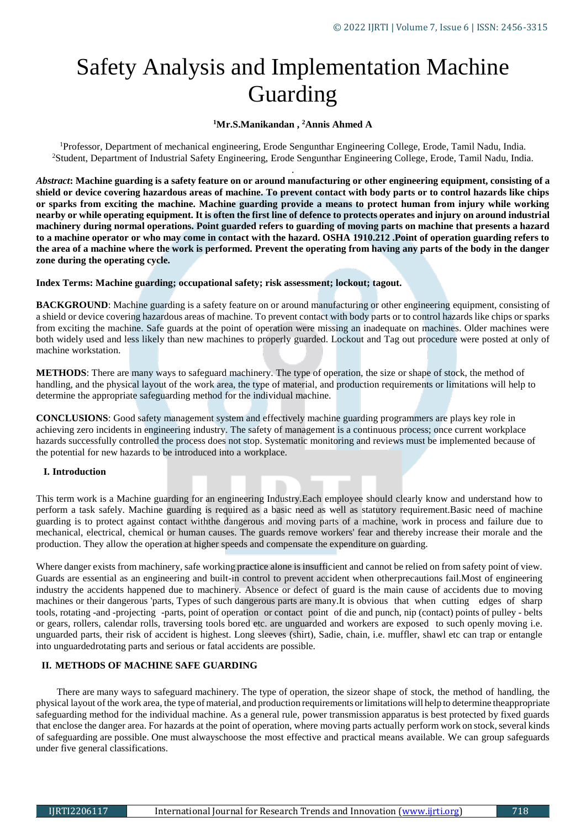# Safety Analysis and Implementation Machine Guarding

# **<sup>1</sup>Mr.S.Manikandan , <sup>2</sup>Annis Ahmed A**

<sup>1</sup>Professor, Department of mechanical engineering, Erode Sengunthar Engineering College, Erode, Tamil Nadu, India. <sup>2</sup>Student, Department of Industrial Safety Engineering, Erode Sengunthar Engineering College, Erode, Tamil Nadu, India. .

*Abstract***: Machine guarding is a safety feature on or around manufacturing or other engineering equipment, consisting of a shield or device covering hazardous areas of machine. To prevent contact with body parts or to control hazards like chips or sparks from exciting the machine. Machine guarding provide a means to protect human from injury while working nearby or while operating equipment. It is often the first line of defence to protects operates and injury on around industrial machinery during normal operations. Point guarded refers to guarding of moving parts on machine that presents a hazard to a machine operator or who may come in contact with the hazard. OSHA 1910.212 .Point of operation guarding refers to the area of a machine where the work is performed. Prevent the operating from having any parts of the body in the danger zone during the operating cycle.** 

## **Index Terms: Machine guarding; occupational safety; risk assessment; lockout; tagout.**

**BACKGROUND**: Machine guarding is a safety feature on or around manufacturing or other engineering equipment, consisting of a shield or device covering hazardous areas of machine. To prevent contact with body parts or to control hazards like chips or sparks from exciting the machine. Safe guards at the point of operation were missing an inadequate on machines. Older machines were both widely used and less likely than new machines to properly guarded. Lockout and Tag out procedure were posted at only of machine workstation.

**METHODS**: There are many ways to safeguard machinery. The type of operation, the size or shape of stock, the method of handling, and the physical layout of the work area, the type of material, and production requirements or limitations will help to determine the appropriate safeguarding method for the individual machine.

**CONCLUSIONS**: Good safety management system and effectively machine guarding programmers are plays key role in achieving zero incidents in engineering industry. The safety of management is a continuous process; once current workplace hazards successfully controlled the process does not stop. Systematic monitoring and reviews must be implemented because of the potential for new hazards to be introduced into a workplace.

## **I. Introduction**

This term work is a Machine guarding for an engineering Industry.Each employee should clearly know and understand how to perform a task safely. Machine guarding is required as a basic need as well as statutory requirement.Basic need of machine guarding is to protect against contact withthe dangerous and moving parts of a machine, work in process and failure due to mechanical, electrical, chemical or human causes. The guards remove workers' fear and thereby increase their morale and the production. They allow the operation at higher speeds and compensate the expenditure on guarding.

Where danger exists from machinery, safe working practice alone is insufficient and cannot be relied on from safety point of view. Guards are essential as an engineering and built-in control to prevent accident when otherprecautions fail.Most of engineering industry the accidents happened due to machinery. Absence or defect of guard is the main cause of accidents due to moving machines or their dangerous 'parts, Types of such dangerous parts are many.It is obvious that when cutting edges of sharp tools, rotating -and -projecting -parts, point of operation or contact point of die and punch, nip (contact) points of pulley - belts or gears, rollers, calendar rolls, traversing tools bored etc. are unguarded and workers are exposed to such openly moving i.e. unguarded parts, their risk of accident is highest. Long sleeves (shirt), Sadie, chain, i.e. muffler, shawl etc can trap or entangle into unguardedrotating parts and serious or fatal accidents are possible.

# **II. METHODS OF MACHINE SAFE GUARDING**

There are many ways to safeguard machinery. The type of operation, the sizeor shape of stock, the method of handling, the physical layout of the work area, the type ofmaterial, and production requirements orlimitations will help to determine theappropriate safeguarding method for the individual machine. As a general rule, power transmission apparatus is best protected by fixed guards that enclose the danger area. For hazards at the point of operation, where moving parts actually perform work on stock, several kinds of safeguarding are possible. One must alwayschoose the most effective and practical means available. We can group safeguards under five general classifications.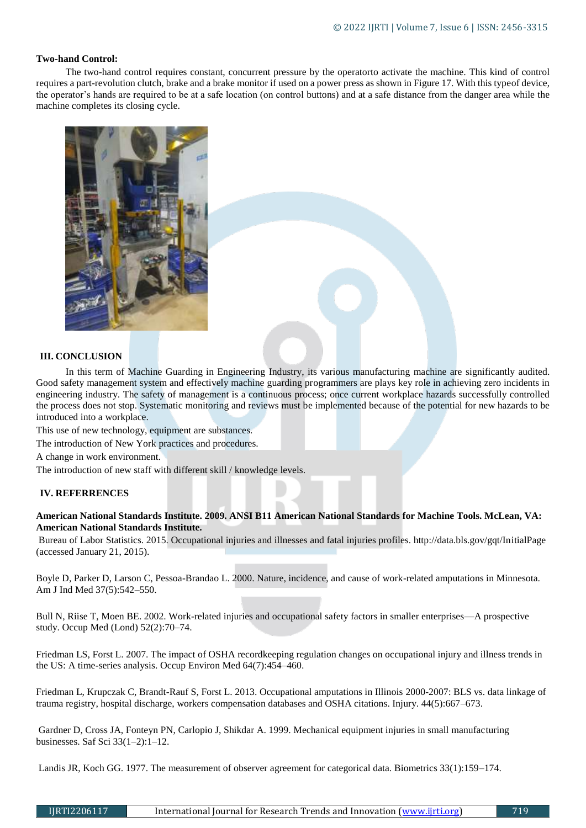#### **Two-hand Control:**

The two-hand control requires constant, concurrent pressure by the operatorto activate the machine. This kind of control requires a part-revolution clutch, brake and a brake monitor if used on a power press as shown in Figure 17. With this typeof device, the operator's hands are required to be at a safe location (on control buttons) and at a safe distance from the danger area while the machine completes its closing cycle.



#### **III. CONCLUSION**

In this term of Machine Guarding in Engineering Industry, its various manufacturing machine are significantly audited. Good safety management system and effectively machine guarding programmers are plays key role in achieving zero incidents in engineering industry. The safety of management is a continuous process; once current workplace hazards successfully controlled the process does not stop. Systematic monitoring and reviews must be implemented because of the potential for new hazards to be introduced into a workplace.

This use of new technology, equipment are substances.

The introduction of New York practices and procedures.

A change in work environment.

The introduction of new staff with different skill / knowledge levels.

## **IV. REFERRENCES**

**American National Standards Institute. 2009. ANSI B11 American National Standards for Machine Tools. McLean, VA: American National Standards Institute.**

Bureau of Labor Statistics. 2015. Occupational injuries and illnesses and fatal injuries profiles. http://data.bls.gov/gqt/InitialPage (accessed January 21, 2015).

Boyle D, Parker D, Larson C, Pessoa-Brandao L. 2000. Nature, incidence, and cause of work-related amputations in Minnesota. Am J Ind Med 37(5):542–550.

Bull N, Riise T, Moen BE. 2002. Work-related injuries and occupational safety factors in smaller enterprises—A prospective study. Occup Med (Lond) 52(2):70–74.

Friedman LS, Forst L. 2007. The impact of OSHA recordkeeping regulation changes on occupational injury and illness trends in the US: A time-series analysis. Occup Environ Med 64(7):454–460.

Friedman L, Krupczak C, Brandt-Rauf S, Forst L. 2013. Occupational amputations in Illinois 2000-2007: BLS vs. data linkage of trauma registry, hospital discharge, workers compensation databases and OSHA citations. Injury. 44(5):667–673.

Gardner D, Cross JA, Fonteyn PN, Carlopio J, Shikdar A. 1999. Mechanical equipment injuries in small manufacturing businesses. Saf Sci 33(1–2):1–12.

Landis JR, Koch GG. 1977. The measurement of observer agreement for categorical data. Biometrics 33(1):159–174.